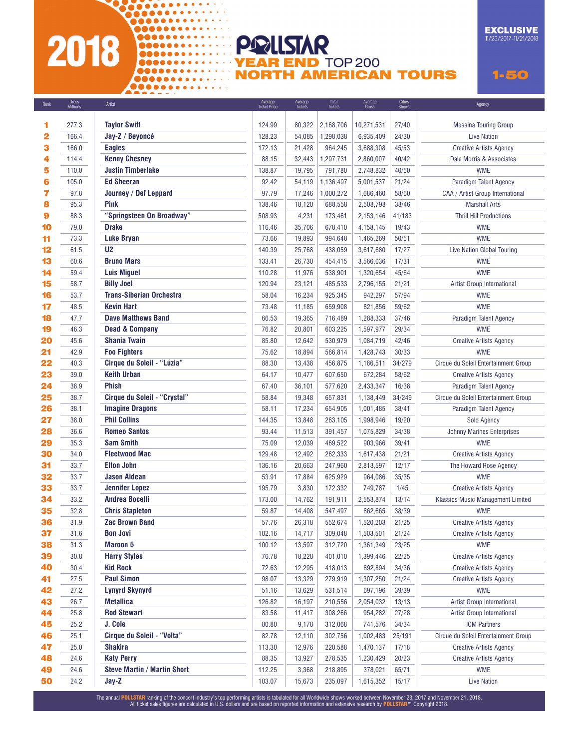# 2018

............

00000000000000 **ODOOOOOOOOOOOOOO** 

#### **EXCLUSIVE**  $11/23/2017 - 11/21/2018$

**YEAR END TOP 200 NORTH AMERICAN TOURS** 

Average

Cities

 $1 - 50$ 

| калк                    | <b>Millions</b> | Artist                              | <b>Ticket Price</b> | Tickets | Tickets   | Gross      | Shows  | ддепсу                               |
|-------------------------|-----------------|-------------------------------------|---------------------|---------|-----------|------------|--------|--------------------------------------|
| 1                       | 277.3           | <b>Taylor Swift</b>                 | 124.99              | 80,322  | 2,168,706 | 10,271,531 | 27/40  | <b>Messina Touring Group</b>         |
| $\overline{\mathbf{2}}$ | 166.4           | Jay-Z / Beyoncé                     | 128.23              | 54,085  | 1,298,038 | 6,935,409  | 24/30  | <b>Live Nation</b>                   |
| 3                       | 166.0           | <b>Eagles</b>                       | 172.13              | 21,428  | 964,245   | 3,688,308  | 45/53  | <b>Creative Artists Agency</b>       |
| 4                       | 114.4           | <b>Kenny Chesney</b>                | 88.15               | 32,443  | 1,297,731 | 2,860,007  | 40/42  | Dale Morris & Associates             |
| 5                       | 110.0           | <b>Justin Timberlake</b>            | 138.87              | 19,795  | 791,780   | 2,748,832  | 40/50  | <b>WME</b>                           |
| 6                       | 105.0           | <b>Ed Sheeran</b>                   | 92.42               | 54,119  | 1,136,497 | 5,001,537  | 21/24  | Paradigm Talent Agency               |
| 7                       | 97.8            | Journey / Def Leppard               | 97.79               | 17,246  | 1,000,272 | 1,686,460  | 58/60  | CAA / Artist Group International     |
| 8                       | 95.3            | <b>Pink</b>                         | 138.46              | 18,120  | 688,558   | 2,508,798  | 38/46  | <b>Marshall Arts</b>                 |
| 9                       | 88.3            | "Springsteen On Broadway"           | 508.93              | 4,231   | 173,461   | 2,153,146  | 41/183 | <b>Thrill Hill Productions</b>       |
| 10                      | 79.0            | <b>Drake</b>                        | 116.46              | 35,706  | 678,410   | 4,158,145  | 19/43  | <b>WME</b>                           |
| 11                      | 73.3            | <b>Luke Bryan</b>                   | 73.66               | 19,893  | 994,648   | 1,465,269  | 50/51  | <b>WME</b>                           |
| 12                      | 61.5            | U <sub>2</sub>                      | 140.39              | 25,768  | 438,059   | 3,617,680  | 17/27  | Live Nation Global Touring           |
| 13                      | 60.6            | <b>Bruno Mars</b>                   | 133.41              | 26,730  | 454,415   | 3,566,036  | 17/31  | <b>WME</b>                           |
| 14                      | 59.4            | <b>Luis Miguel</b>                  | 110.28              | 11,976  | 538,901   | 1,320,654  | 45/64  | <b>WME</b>                           |
| 15                      | 58.7            | <b>Billy Joel</b>                   | 120.94              | 23,121  | 485,533   | 2,796,155  | 21/21  | Artist Group International           |
| 16                      | 53.7            | <b>Trans-Siberian Orchestra</b>     | 58.04               | 16,234  | 925,345   | 942,297    | 57/94  | <b>WME</b>                           |
| 17                      | 48.5            | <b>Kevin Hart</b>                   | 73.48               | 11,185  | 659,908   | 821,856    | 59/62  | <b>WME</b>                           |
| 18                      | 47.7            | <b>Dave Matthews Band</b>           | 66.53               | 19,365  | 716,489   | 1,288,333  | 37/46  | Paradigm Talent Agency               |
| 19                      | 46.3            | <b>Dead &amp; Company</b>           | 76.82               | 20,801  | 603,225   | 1,597,977  | 29/34  | <b>WME</b>                           |
| 20                      | 45.6            | <b>Shania Twain</b>                 | 85.80               | 12,642  | 530,979   | 1,084,719  | 42/46  | <b>Creative Artists Agency</b>       |
| 21                      | 42.9            | <b>Foo Fighters</b>                 | 75.62               | 18,894  | 566,814   | 1,428,743  | 30/33  | <b>WME</b>                           |
| 22                      | 40.3            | Cirque du Soleil - "Lúzia"          | 88.30               | 13,438  | 456,875   | 1,186,511  | 34/279 | Cirque du Soleil Entertainment Group |
| 23                      | 39.0            | <b>Keith Urban</b>                  | 64.17               | 10,477  | 607,650   | 672,284    | 58/62  | <b>Creative Artists Agency</b>       |
| 24                      | 38.9            | <b>Phish</b>                        | 67.40               | 36,101  | 577,620   | 2,433,347  | 16/38  | Paradigm Talent Agency               |
| 25                      | 38.7            | <b>Cirque du Soleil - "Crystal"</b> | 58.84               | 19,348  | 657,831   | 1,138,449  | 34/249 | Cirque du Soleil Entertainment Group |
| 26                      | 38.1            | <b>Imagine Dragons</b>              | 58.11               | 17,234  | 654,905   | 1,001,485  | 38/41  | Paradigm Talent Agency               |
| 27                      | 38.0            | <b>Phil Collins</b>                 | 144.35              | 13,848  | 263,105   | 1,998,946  | 19/20  | Solo Agency                          |
| 28                      | 36.6            | <b>Romeo Santos</b>                 | 93.44               | 11,513  | 391,457   | 1,075,829  | 34/38  | <b>Johnny Marines Enterprises</b>    |
| 29                      | 35.3            | <b>Sam Smith</b>                    | 75.09               | 12,039  | 469,522   | 903,966    | 39/41  | <b>WME</b>                           |
| 30                      | 34.0            | <b>Fleetwood Mac</b>                | 129.48              | 12,492  | 262,333   | 1,617,438  | 21/21  | <b>Creative Artists Agency</b>       |
| 31                      | 33.7            | <b>Elton John</b>                   | 136.16              | 20,663  | 247,960   | 2,813,597  | 12/17  | The Howard Rose Agency               |
| 32                      | 33.7            | <b>Jason Aldean</b>                 | 53.91               | 17,884  | 625,929   | 964,086    | 35/35  | <b>WME</b>                           |
| 33                      | 33.7            | <b>Jennifer Lopez</b>               | 195.79              | 3,830   | 172,332   | 749.787    | 1/45   | <b>Creative Artists Agency</b>       |
| 34                      | 33.2            | <b>Andrea Bocelli</b>               | 173.00              | 14,762  | 191,911   | 2,553,874  | 13/14  | Klassics Music Management Limited    |
| 35                      | 32.8            | <b>Chris Stapleton</b>              | 59.87               | 14,408  | 547,497   | 862,665    | 38/39  | <b>WME</b>                           |
| 36                      | 31.9            | <b>Zac Brown Band</b>               | 57.76               | 26,318  | 552,674   | 1,520,203  | 21/25  | <b>Creative Artists Agency</b>       |
| 37                      | 31.6            | <b>Bon Jovi</b>                     | 102.16              | 14,717  | 309,048   | 1,503,501  | 21/24  | <b>Creative Artists Agency</b>       |
| 38                      | 31.3            | <b>Maroon 5</b>                     | 100.12              | 13,597  | 312,720   | 1,361,349  | 23/25  | <b>WME</b>                           |
| 39                      | 30.8            | <b>Harry Styles</b>                 | 76.78               | 18,228  | 401,010   | 1,399,446  | 22/25  | <b>Creative Artists Agency</b>       |
| 40                      | 30.4            | <b>Kid Rock</b>                     | 72.63               | 12,295  | 418,013   | 892,894    | 34/36  | <b>Creative Artists Agency</b>       |
| 41                      | 27.5            | <b>Paul Simon</b>                   | 98.07               | 13,329  | 279,919   | 1,307,250  | 21/24  | <b>Creative Artists Agency</b>       |
| 42                      | 27.2            | <b>Lynyrd Skynyrd</b>               | 51.16               | 13,629  | 531,514   | 697,196    | 39/39  | <b>WME</b>                           |
| 43                      | 26.7            | <b>Metallica</b>                    | 126.82              | 16,197  | 210,556   | 2,054,032  | 13/13  | Artist Group International           |
| 44                      | 25.8            | <b>Rod Stewart</b>                  | 83.58               | 11,417  | 308,266   | 954,282    | 27/28  | Artist Group International           |
| 45                      | 25.2            | J. Cole                             | 80.80               | 9,178   | 312,068   | 741,576    | 34/34  | <b>ICM Partners</b>                  |
| 46                      | 25.1            | <b>Cirque du Soleil - "Volta"</b>   | 82.78               | 12,110  | 302,756   | 1,002,483  | 25/191 | Cirque du Soleil Entertainment Group |
| 47                      | 25.0            | <b>Shakira</b>                      | 113.30              | 12,976  | 220,588   | 1,470,137  | 17/18  | <b>Creative Artists Agency</b>       |
| 48                      | 24.6            | <b>Katy Perry</b>                   | 88.35               | 13,927  | 278,535   | 1,230,429  | 20/23  | <b>Creative Artists Agency</b>       |
| 49                      | 24.6            | <b>Steve Martin / Martin Short</b>  | 112.25              | 3,368   | 218,895   | 378,021    | 65/71  | <b>WME</b>                           |
| 50                      | 24.2            | Jay-Z                               | 103.07              | 15,673  | 235,097   | 1,615,352  | 15/17  | <b>Live Nation</b>                   |
|                         |                 |                                     |                     |         |           |            |        |                                      |

PRILSTAR

Average

Total

Averane

The annual POLLSTAR ranking of the concert industry's top performing artists is tabulated for all Worldwide shows worked between November 23, 2017 and November 21, 2018.<br>All ticket sales figures are calculated in U.S. doll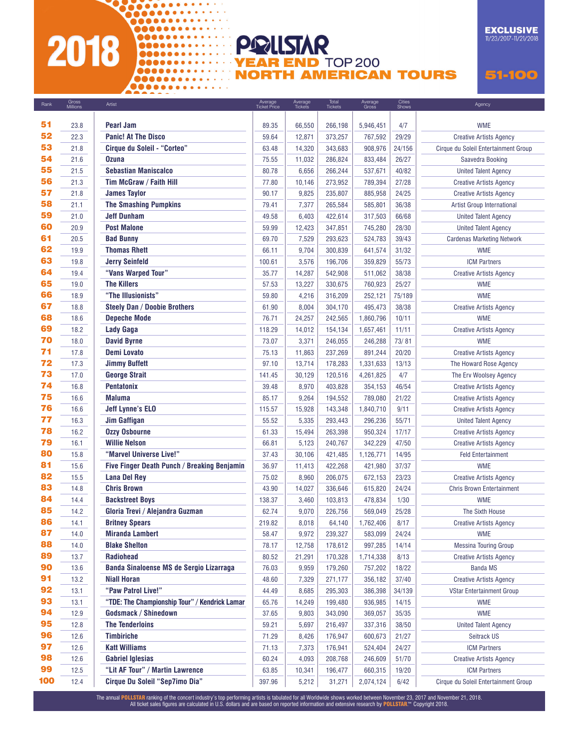# 2018

............

00000000000000 **ODOOOOOOOOOOOOOO** 

**000000000000000** 

**EXCLUSIVE**  $11/23/2017 - 11/21/2018$ 

**YEAR END TOP 200 NORTH AMERICAN TOURS** 

Average

51-100

| Kank     | Millions     | Artist                                                      | Ticket Price   | Tickets | Tickets            | Gross              | Shows          | Agency                                                     |
|----------|--------------|-------------------------------------------------------------|----------------|---------|--------------------|--------------------|----------------|------------------------------------------------------------|
|          |              |                                                             |                |         |                    |                    |                |                                                            |
| 51<br>52 | 23.8         | <b>Pearl Jam</b>                                            | 89.35          | 66,550  | 266,198            | 5,946,451          | 4/7            | <b>WME</b>                                                 |
| 53       | 22.3         | <b>Panic! At The Disco</b>                                  | 59.64          | 12,871  | 373,257            | 767,592            | 29/29          | <b>Creative Artists Agency</b>                             |
| 54       | 21.8<br>21.6 | <b>Cirque du Soleil - "Corteo"</b><br><b>Ozuna</b>          | 63.48<br>75.55 | 14,320  | 343,683<br>286,824 | 908,976            | 24/156         | Cirque du Soleil Entertainment Group                       |
| 55       | 21.5         | <b>Sebastian Maniscalco</b>                                 | 80.78          | 11,032  | 266,244            | 833,484            | 26/27          | Saavedra Booking<br><b>United Talent Agency</b>            |
| 56       | 21.3         | Tim McGraw / Faith Hill                                     | 77.80          | 6,656   | 273,952            | 537,671            | 40/82          |                                                            |
| 57       | 21.8         | <b>James Taylor</b>                                         | 90.17          | 10,146  | 235,807            | 789,394            | 27/28          | <b>Creative Artists Agency</b>                             |
| 58       | 21.1         |                                                             | 79.41          | 9,825   |                    | 885,958            | 24/25<br>36/38 | <b>Creative Artists Agency</b>                             |
| 59       |              | <b>The Smashing Pumpkins</b><br><b>Jeff Dunham</b>          |                | 7,377   | 265,584<br>422,614 | 585,801            | 66/68          | Artist Group International                                 |
| 60       | 21.0<br>20.9 | <b>Post Malone</b>                                          | 49.58<br>59.99 | 6,403   | 347,851            | 317,503            |                | <b>United Talent Agency</b><br><b>United Talent Agency</b> |
| 61       | 20.5         | <b>Bad Bunny</b>                                            | 69.70          | 12,423  | 293,623            | 745,280<br>524,783 | 28/30<br>39/43 |                                                            |
| 62       |              | <b>Thomas Rhett</b>                                         |                | 7,529   | 300,839            |                    | 31/32          | <b>Cardenas Marketing Network</b><br><b>WME</b>            |
| 63       | 19.9         |                                                             | 66.11          | 9,704   |                    | 641,574            |                |                                                            |
| 64       | 19.8         | <b>Jerry Seinfeld</b>                                       | 100.61         | 3,576   | 196,706            | 359,829            | 55/73          | <b>ICM Partners</b>                                        |
| 65       | 19.4         | "Vans Warped Tour"                                          | 35.77          | 14,287  | 542,908            | 511,062            | 38/38          | <b>Creative Artists Agency</b>                             |
| 66       | 19.0         | <b>The Killers</b>                                          | 57.53          | 13,227  | 330,675            | 760,923            | 25/27          | <b>WME</b>                                                 |
| 67       | 18.9         | "The Illusionists"                                          | 59.80          | 4,216   | 316,209            | 252,121            | 75/189         | <b>WME</b>                                                 |
| 68       | 18.8         | <b>Steely Dan / Doobie Brothers</b>                         | 61.90          | 8,004   | 304,170            | 495,473            | 38/38          | <b>Creative Artists Agency</b>                             |
| 69       | 18.6         | <b>Depeche Mode</b>                                         | 76.71          | 24,257  | 242,565            | 1,860,796          | 10/11          | <b>WME</b>                                                 |
| 70       | 18.2         | <b>Lady Gaga</b>                                            | 118.29         | 14,012  | 154,134            | 1,657,461          | 11/11          | <b>Creative Artists Agency</b>                             |
|          | 18.0         | <b>David Byrne</b>                                          | 73.07          | 3,371   | 246,055            | 246,288            | 73/81          | <b>WME</b>                                                 |
| 71       | 17.8         | <b>Demi Lovato</b>                                          | 75.13          | 11,863  | 237,269            | 891,244            | 20/20          | <b>Creative Artists Agency</b>                             |
| 72       | 17.3         | <b>Jimmy Buffett</b>                                        | 97.10          | 13,714  | 178,283            | 1,331,633          | 13/13          | The Howard Rose Agency                                     |
| 73       | 17.0         | <b>George Strait</b>                                        | 141.45         | 30.129  | 120,516            | 4,261,825          | 4/7            | The Erv Woolsey Agency                                     |
| 74       | 16.8         | <b>Pentatonix</b>                                           | 39.48          | 8,970   | 403,828            | 354,153            | 46/54          | <b>Creative Artists Agency</b>                             |
| 75       | 16.6         | <b>Maluma</b>                                               | 85.17          | 9,264   | 194,552            | 789,080            | 21/22          | <b>Creative Artists Agency</b>                             |
| 76       | 16.6         | <b>Jeff Lynne's ELO</b>                                     | 115.57         | 15,928  | 143,348            | 1,840,710          | 9/11           | <b>Creative Artists Agency</b>                             |
| 77       | 16.3         | <b>Jim Gaffigan</b>                                         | 55.52          | 5,335   | 293,443            | 296,236            | 55/71          | <b>United Talent Agency</b>                                |
| 78       | 16.2         | <b>Ozzy Osbourne</b>                                        | 61.33          | 15,494  | 263,398            | 950,324            | 17/17          | <b>Creative Artists Agency</b>                             |
| 79       | 16.1         | <b>Willie Nelson</b>                                        | 66.81          | 5,123   | 240,767            | 342,229            | 47/50          | <b>Creative Artists Agency</b>                             |
| 80<br>81 | 15.8         | "Marvel Universe Live!"                                     | 37.43          | 30,106  | 421,485            | 1,126,771          | 14/95          | <b>Feld Entertainment</b>                                  |
| 82       | 15.6         | Five Finger Death Punch / Breaking Benjamin                 | 36.97          | 11,413  | 422,268            | 421,980            | 37/37          | <b>WME</b>                                                 |
| 83       | 15.5         | <b>Lana Del Rey</b>                                         | 75.02          | 8,960   | 206,075            | 672,153            | 23/23          | <b>Creative Artists Agency</b>                             |
| 84       | 14.8         | <b>Chris Brown</b>                                          | 43.90          | 14,027  | 336,646            | 615,820            | 24/24          | <b>Chris Brown Entertainment</b>                           |
| 85       | 14.4         | <b>Backstreet Boys</b>                                      | 138.37         | 3,460   | 103,813            | 478,834            | 1/30           | <b>WME</b>                                                 |
| 86       | 14.2         | Gloria Trevi / Alejandra Guzman                             | 62.74          | 9,070   | 226,756            | 569,049            | 25/28          | The Sixth House                                            |
|          | 14.1         | <b>Britney Spears</b>                                       | 219.82         | 8,018   | 64,140             | 1,762,406          | 8/17           | <b>Creative Artists Agency</b>                             |
| 87<br>88 | 14.0         | <b>Miranda Lambert</b>                                      | 58.47          | 9,972   | 239,327            | 583,099            | 24/24          | <b>WME</b>                                                 |
| 89       | 14.0         | <b>Blake Shelton</b>                                        | 78.17          | 12,758  | 178,612            | 997,285            | 14/14          | <b>Messina Touring Group</b>                               |
| 90       | 13.7         | <b>Radiohead</b><br>Banda Sinaloense MS de Sergio Lizarraga | 80.52          | 21,291  | 170,328            | 1,714,338          | 8/13           | <b>Creative Artists Agency</b>                             |
| 91       | 13.6         |                                                             | 76.03          | 9,959   | 179,260            | 757,202            | 18/22          | <b>Banda MS</b>                                            |
| 92       | 13.2         | <b>Niall Horan</b><br>"Paw Patrol Live!"                    | 48.60          | 7,329   | 271,177            | 356,182            | 37/40          | <b>Creative Artists Agency</b>                             |
| 93       | 13.1         |                                                             | 44.49          | 8,685   | 295,303            | 386,398            | 34/139         | <b>VStar Entertainment Group</b>                           |
| 94       | 13.1         | "TDE: The Championship Tour" / Kendrick Lamar               | 65.76          | 14,249  | 199,480            | 936,985            | 14/15          | <b>WME</b>                                                 |
| 95       | 12.9         | Godsmack / Shinedown                                        | 37.65          | 9,803   | 343,090            | 369,057            | 35/35          | <b>WME</b>                                                 |
| 96       | 12.8         | <b>The Tenderloins</b>                                      | 59.21          | 5,697   | 216,497            | 337,316            | 38/50          | <b>United Talent Agency</b>                                |
| 97       | 12.6         | <b>Timbiriche</b>                                           | 71.29          | 8,426   | 176,947            | 600,673            | 21/27          | Seitrack US                                                |
| 98       | 12.6         | <b>Katt Williams</b>                                        | 71.13          | 7,373   | 176,941            | 524,404            | 24/27          | <b>ICM Partners</b>                                        |
| 99       | 12.6         | <b>Gabriel Iglesias</b>                                     | 60.24          | 4,093   | 208,768            | 246,609            | 51/70          | <b>Creative Artists Agency</b>                             |
|          | 12.5         | "Lit AF Tour" / Martin Lawrence                             | 63.85          | 10,341  | 196,477            | 660,315            | 19/20          | <b>ICM Partners</b>                                        |
| 100      | 12.4         | <b>Cirque Du Soleil "Sep7imo Dia"</b>                       | 397.96         | 5,212   | 31,271             | 2,074,124          | 6/42           | Cirque du Soleil Entertainment Group                       |

PRILSTAR

 $A$ 

Total

The annual POLLSTAR ranking of the concert industry's top performing artists is tabulated for all Worldwide shows worked between November 23, 2017 and November 21, 2018.<br>All ticket sales figures are calculated in U.S. doll